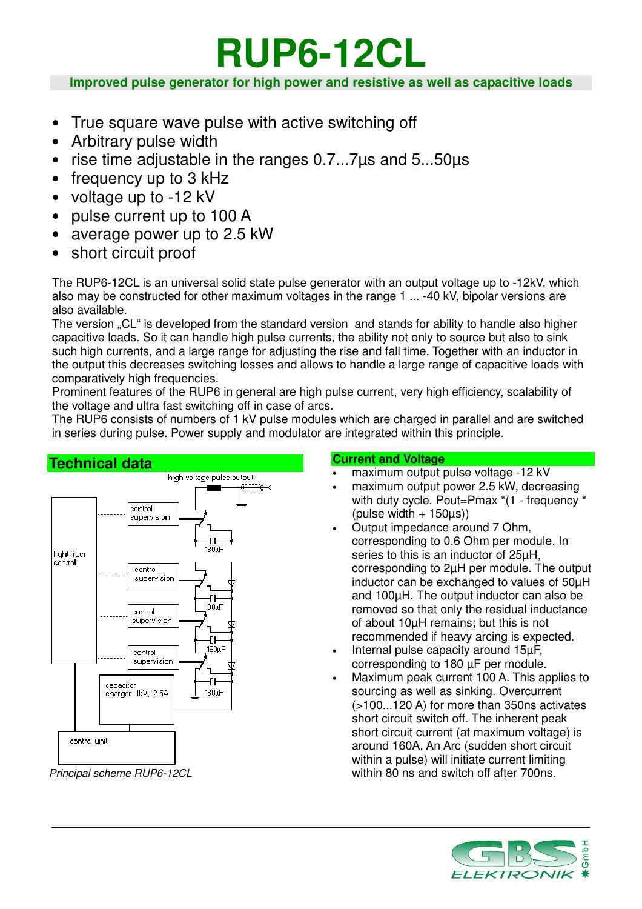# **RUP6-12CL**

**Improved pulse generator for high power and resistive as well as capacitive loads**

- True square wave pulse with active switching off
- Arbitrary pulse width
- rise time adjustable in the ranges 0.7...7µs and 5...50µs
- frequency up to 3 kHz
- voltage up to -12 kV
- pulse current up to 100 A
- average power up to 2.5 kW
- short circuit proof

The RUP6-12CL is an universal solid state pulse generator with an output voltage up to -12kV, which also may be constructed for other maximum voltages in the range 1 ... -40 kV, bipolar versions are also available.

The version "CL" is developed from the standard version and stands for ability to handle also higher capacitive loads. So it can handle high pulse currents, the ability not only to source but also to sink such high currents, and a large range for adjusting the rise and fall time. Together with an inductor in the output this decreases switching losses and allows to handle a large range of capacitive loads with comparatively high frequencies.

Prominent features of the RUP6 in general are high pulse current, very high efficiency, scalability of the voltage and ultra fast switching off in case of arcs.

The RUP6 consists of numbers of 1 kV pulse modules which are charged in parallel and are switched in series during pulse. Power supply and modulator are integrated within this principle.



Principal scheme RUP6-12CL

## **Current and Voltage**

- maximum output pulse voltage -12 kV
- maximum output power 2.5 kW, decreasing with duty cycle. Pout=Pmax \*(1 - frequency \*  $(pulse width + 150\mu s)$
- Output impedance around 7 Ohm, corresponding to 0.6 Ohm per module. In series to this is an inductor of 25µH, corresponding to 2µH per module. The output inductor can be exchanged to values of 50µH and 100µH. The output inductor can also be removed so that only the residual inductance of about 10µH remains; but this is not recommended if heavy arcing is expected.
- Internal pulse capacity around 15µF, corresponding to 180 µF per module.
- Maximum peak current 100 A. This applies to sourcing as well as sinking. Overcurrent (>100...120 A) for more than 350ns activates short circuit switch off. The inherent peak short circuit current (at maximum voltage) is around 160A. An Arc (sudden short circuit within a pulse) will initiate current limiting within 80 ns and switch off after 700ns.